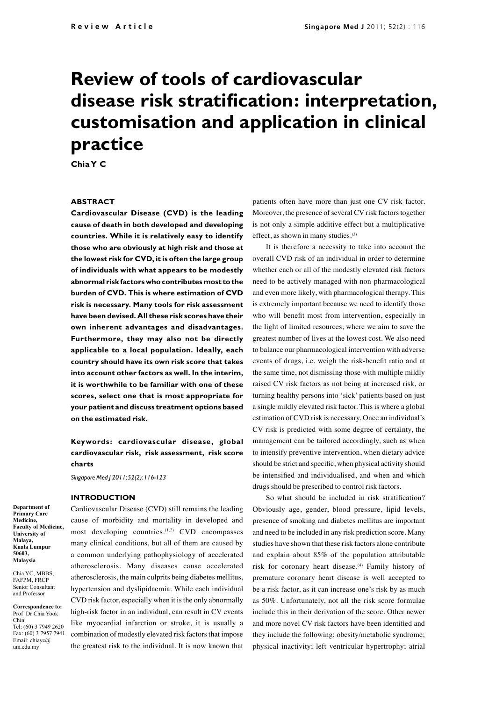# **Review of tools of cardiovascular disease risk stratification: interpretation, customisation and application in clinical practice**

**Chia Y C**

#### **ABSTRACT**

**Cardiovascular Disease (CVD) is the leading cause of death in both developed and developing countries. While it is relatively easy to identify those who are obviously at high risk and those at the lowest risk for CVD, it is often the large group of individuals with what appears to be modestly abnormal risk factors who contributes most to the burden of CVD. This is where estimation of CVD risk is necessary. Many tools for risk assessment have been devised. All these risk scores have their own inherent advantages and disadvantages. Furthermore, they may also not be directly applicable to a local population. Ideally, each country should have its own risk score that takes into account other factors as well. In the interim, it is worthwhile to be familiar with one of these scores, select one that is most appropriate for your patient and discuss treatment options based on the estimated risk.** 

**Keywords: cardiovascular disease, global cardiovascular risk, risk assessment, risk score charts**

Cardiovascular Disease (CVD) still remains the leading

*Singapore Med J 2011; 52(2): 116-123*

#### **INTRODUCTION**

**Department of Primary Care Medicine, Faculty of Medicine, University of Malaya, Kuala Lumpur 50603, Malaysia**

Chia YC, MBBS, FAFPM, FRCP Senior Consultant and Professor

**Correspondence to:** Prof Dr Chia Yook Chin Tel: (60) 3 7949 2620 Fax: (60) 3 7957 7941 Email: chiayc@ um.edu.my

cause of morbidity and mortality in developed and most developing countries.<sup>(1,2)</sup> CVD encompasses many clinical conditions, but all of them are caused by a common underlying pathophysiology of accelerated atherosclerosis. Many diseases cause accelerated atherosclerosis, the main culprits being diabetes mellitus, hypertension and dyslipidaemia. While each individual CVD risk factor, especially when it is the only abnormally high-risk factor in an individual, can result in CV events like myocardial infarction or stroke, it is usually a combination of modestly elevated risk factors that impose the greatest risk to the individual. It is now known that

patients often have more than just one CV risk factor. Moreover, the presence of several CV risk factors together is not only a simple additive effect but a multiplicative effect, as shown in many studies.(3)

It is therefore a necessity to take into account the overall CVD risk of an individual in order to determine whether each or all of the modestly elevated risk factors need to be actively managed with non-pharmacological and even more likely, with pharmacological therapy. This is extremely important because we need to identify those who will benefit most from intervention, especially in the light of limited resources, where we aim to save the greatest number of lives at the lowest cost. We also need to balance our pharmacological intervention with adverse events of drugs, i.e. weigh the risk-benefit ratio and at the same time, not dismissing those with multiple mildly raised CV risk factors as not being at increased risk, or turning healthy persons into 'sick' patients based on just a single mildly elevated risk factor. This is where a global estimation of CVD risk is necessary. Once an individual's CV risk is predicted with some degree of certainty, the management can be tailored accordingly, such as when to intensify preventive intervention, when dietary advice should be strict and specific, when physical activity should be intensified and individualised, and when and which drugs should be prescribed to control risk factors.

So what should be included in risk stratification? Obviously age, gender, blood pressure, lipid levels, presence of smoking and diabetes mellitus are important and need to be included in any risk prediction score. Many studies have shown that these risk factors alone contribute and explain about 85% of the population attributable risk for coronary heart disease.<sup>(4)</sup> Family history of premature coronary heart disease is well accepted to be a risk factor, as it can increase one's risk by as much as 50%. Unfortunately, not all the risk score formulae include this in their derivation of the score. Other newer and more novel CV risk factors have been identified and they include the following: obesity/metabolic syndrome; physical inactivity; left ventricular hypertrophy; atrial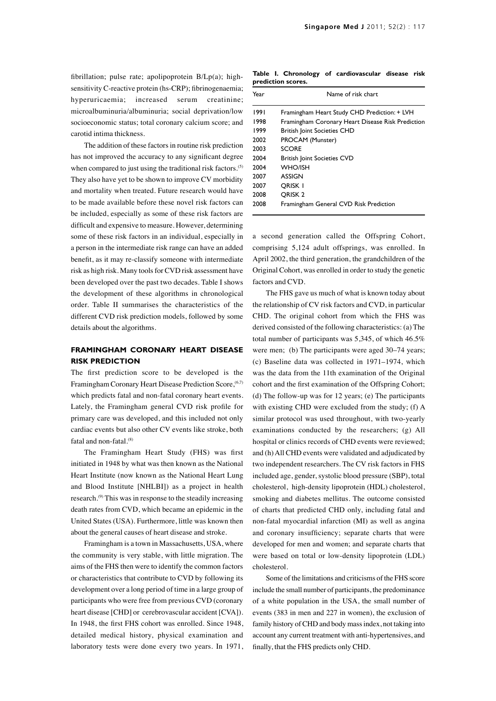fibrillation; pulse rate; apolipoprotein B/Lp(a); highsensitivity C-reactive protein (hs-CRP); fibrinogenaemia; hyperuricaemia; increased serum creatinine; microalbuminuria/albuminuria; social deprivation/low socioeconomic status; total coronary calcium score; and carotid intima thickness.

The addition of these factors in routine risk prediction has not improved the accuracy to any significant degree when compared to just using the traditional risk factors.<sup>(5)</sup> They also have yet to be shown to improve CV morbidity and mortality when treated. Future research would have to be made available before these novel risk factors can be included, especially as some of these risk factors are difficult and expensive to measure. However, determining some of these risk factors in an individual, especially in a person in the intermediate risk range can have an added benefit, as it may re-classify someone with intermediate risk as high risk. Many tools for CVD risk assessment have been developed over the past two decades. Table I shows the development of these algorithms in chronological order. Table II summarises the characteristics of the different CVD risk prediction models, followed by some details about the algorithms.

## **FRAMINGHAM CORONARY HEART DISEASE RISK PREDICTION**

The first prediction score to be developed is the Framingham Coronary Heart Disease Prediction Score, (6,7) which predicts fatal and non-fatal coronary heart events. Lately, the Framingham general CVD risk profile for primary care was developed, and this included not only cardiac events but also other CV events like stroke, both fatal and non-fatal.<sup>(8)</sup>

The Framingham Heart Study (FHS) was first initiated in 1948 by what was then known as the National Heart Institute (now known as the National Heart Lung and Blood Institute [NHLBI]) as a project in health research.(9) This was in response to the steadily increasing death rates from CVD, which became an epidemic in the United States (USA). Furthermore, little was known then about the general causes of heart disease and stroke.

Framingham is a town in Massachusetts, USA, where the community is very stable, with little migration. The aims of the FHS then were to identify the common factors or characteristics that contribute to CVD by following its development over a long period of time in a large group of participants who were free from previous CVD (coronary heart disease [CHD] or cerebrovascular accident [CVA]). In 1948, the first FHS cohort was enrolled. Since 1948, detailed medical history, physical examination and laboratory tests were done every two years. In 1971,

**Table I. Chronology of cardiovascular disease risk prediction scores.**

| Year | Name of risk chart                                |  |  |  |  |  |
|------|---------------------------------------------------|--|--|--|--|--|
| 1991 | Framingham Heart Study CHD Prediction: + LVH      |  |  |  |  |  |
| 1998 | Framingham Coronary Heart Disease Risk Prediction |  |  |  |  |  |
| 1999 | <b>British Joint Societies CHD</b>                |  |  |  |  |  |
| 2002 | PROCAM (Munster)                                  |  |  |  |  |  |
| 2003 | <b>SCORF</b>                                      |  |  |  |  |  |
| 2004 | <b>British Joint Societies CVD</b>                |  |  |  |  |  |
| 2004 | WHO/ISH                                           |  |  |  |  |  |
| 2007 | <b>ASSIGN</b>                                     |  |  |  |  |  |
| 2007 | ORISK I                                           |  |  |  |  |  |
| 2008 | ORISK <sub>2</sub>                                |  |  |  |  |  |
| 2008 | Framingham General CVD Risk Prediction            |  |  |  |  |  |

a second generation called the Offspring Cohort, comprising 5,124 adult offsprings, was enrolled. In April 2002, the third generation, the grandchildren of the Original Cohort, was enrolled in order to study the genetic factors and CVD.

The FHS gave us much of what is known today about the relationship of CV risk factors and CVD, in particular CHD. The original cohort from which the FHS was derived consisted of the following characteristics: (a) The total number of participants was 5,345, of which 46.5% were men; (b) The participants were aged 30–74 years; (c) Baseline data was collected in 1971–1974, which was the data from the 11th examination of the Original cohort and the first examination of the Offspring Cohort; (d) The follow-up was for 12 years; (e) The participants with existing CHD were excluded from the study; (f) A similar protocol was used throughout, with two-yearly examinations conducted by the researchers; (g) All hospital or clinics records of CHD events were reviewed; and (h) All CHD events were validated and adjudicated by two independent researchers. The CV risk factors in FHS included age, gender, systolic blood pressure (SBP), total cholesterol, high-density lipoprotein (HDL) cholesterol, smoking and diabetes mellitus. The outcome consisted of charts that predicted CHD only, including fatal and non-fatal myocardial infarction (MI) as well as angina and coronary insufficiency; separate charts that were developed for men and women; and separate charts that were based on total or low-density lipoprotein (LDL) cholesterol.

Some of the limitations and criticisms of the FHS score include the small number of participants, the predominance of a white population in the USA, the small number of events (383 in men and 227 in women), the exclusion of family history of CHD and body mass index, not taking into account any current treatment with anti-hypertensives, and finally, that the FHS predicts only CHD.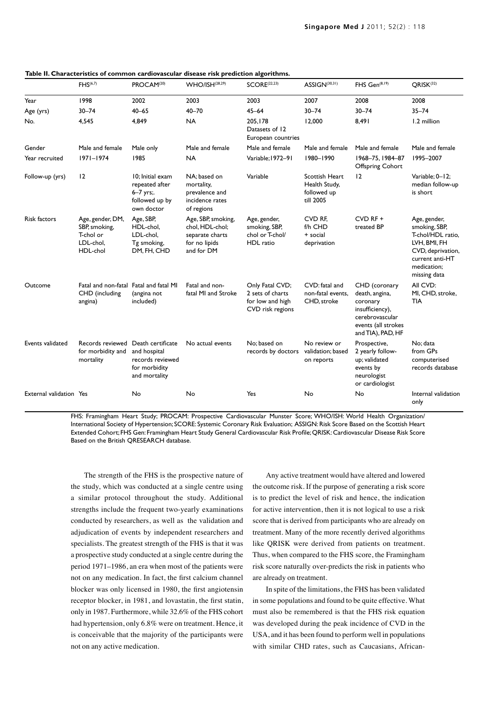|                         | FHS <sup>(6,7)</sup>                                                    | PROCAM <sup>(20)</sup>                                                                  | <b>WHO/ISH(28,29)</b>                                                                   | SCORE <sup>(22,23)</sup>                                                    | ASSIGN(30,31)                                               | FHS Gen(8,19)                                                                                                                 | QRISK <sup>(32)</sup>                                                                                                                     |
|-------------------------|-------------------------------------------------------------------------|-----------------------------------------------------------------------------------------|-----------------------------------------------------------------------------------------|-----------------------------------------------------------------------------|-------------------------------------------------------------|-------------------------------------------------------------------------------------------------------------------------------|-------------------------------------------------------------------------------------------------------------------------------------------|
| Year                    | 1998                                                                    | 2002                                                                                    | 2003                                                                                    | 2003                                                                        | 2007                                                        | 2008                                                                                                                          | 2008                                                                                                                                      |
| Age (yrs)               | $30 - 74$                                                               | $40 - 65$                                                                               | $40 - 70$                                                                               | $45 - 64$                                                                   | $30 - 74$                                                   | $30 - 74$                                                                                                                     | $35 - 74$                                                                                                                                 |
| No.                     | 4,545                                                                   | 4.849                                                                                   | <b>NA</b>                                                                               | 205,178<br>Datasets of 12<br>European countries                             | 12,000                                                      | 8,491                                                                                                                         | 1.2 million                                                                                                                               |
| Gender                  | Male and female                                                         | Male only                                                                               | Male and female                                                                         | Male and female                                                             | Male and female                                             | Male and female                                                                                                               | Male and female                                                                                                                           |
| Year recruited          | $ 971 -  974$                                                           | 1985                                                                                    | <b>NA</b>                                                                               | Variable: 1972-91                                                           | 1980-1990                                                   | 1968-75, 1984-87<br><b>Offspring Cohort</b>                                                                                   | 1995-2007                                                                                                                                 |
| Follow-up (yrs)         | 12                                                                      | 10: Initial exam<br>repeated after<br>$6 - 7$ yrs;.<br>followed up by<br>own doctor     | NA: based on<br>mortality,<br>prevalence and<br>incidence rates<br>of regions           | Variable                                                                    | Scottish Heart<br>Health Study,<br>followed up<br>till 2005 | 12                                                                                                                            | Variable; 0-12;<br>median follow-up<br>is short                                                                                           |
| <b>Risk factors</b>     | Age, gender, DM,<br>SBP, smoking,<br>T-chol or<br>LDL-chol,<br>HDL-chol | Age, SBP,<br>HDL-chol,<br>LDL-chol,<br>Tg smoking,<br>DM, FH, CHD                       | Age, SBP, smoking,<br>chol, HDL-chol;<br>separate charts<br>for no lipids<br>and for DM | Age, gender,<br>smoking, SBP,<br>chol or T-chol/<br>HDL ratio               | CVD RF.<br>f/h CHD<br>+ social<br>deprivation               | $CVD$ RF +<br>treated BP                                                                                                      | Age, gender,<br>smoking, SBP,<br>T-chol/HDL ratio,<br>LVH, BMI, FH<br>CVD, deprivation,<br>current anti-HT<br>medication;<br>missing data |
| Outcome                 | Fatal and non-fatal Fatal and fatal MI<br>CHD (including<br>angina)     | (angina not<br>included)                                                                | Fatal and non-<br>fatal MI and Stroke                                                   | Only Fatal CVD;<br>2 sets of charts<br>for low and high<br>CVD risk regions | CVD: fatal and<br>non-fatal events.<br>CHD, stroke          | CHD (coronary<br>death, angina,<br>coronary<br>insufficiency),<br>cerebrovascular<br>events (all strokes<br>and TIA), PAD, HF | All CVD:<br>MI, CHD, stroke,<br><b>TIA</b>                                                                                                |
| Events validated        | Records reviewed<br>for morbidity and<br>mortality                      | Death certificate<br>and hospital<br>records reviewed<br>for morbidity<br>and mortality | No actual events                                                                        | No: based on<br>records by doctors                                          | No review or<br>validation; based<br>on reports             | Prospective,<br>2 yearly follow-<br>up; validated<br>events by<br>neurologist<br>or cardiologist                              | No: data<br>from GPs<br>computerised<br>records database                                                                                  |
| External validation Yes |                                                                         | No                                                                                      | No                                                                                      | Yes                                                                         | No                                                          | No                                                                                                                            | Internal validation<br>only                                                                                                               |

**Table II. Characteristics of common cardiovascular disease risk prediction algorithms.**

FHS: Framingham Heart Study; PROCAM: Prospective Cardiovascular Munster Score; WHO/ISH: World Health Organization/ International Society of Hypertension; SCORE: Systemic Coronary Risk Evaluation; ASSIGN: Risk Score Based on the Scottish Heart Extended Cohort; FHS Gen: Framingham Heart Study General Cardiovascular Risk Profile; QRISK: Cardiovascular Disease Risk Score Based on the British QRESEARCH database.

The strength of the FHS is the prospective nature of the study, which was conducted at a single centre using a similar protocol throughout the study. Additional strengths include the frequent two-yearly examinations conducted by researchers, as well as the validation and adjudication of events by independent researchers and specialists. The greatest strength of the FHS is that it was a prospective study conducted at a single centre during the period 1971–1986, an era when most of the patients were not on any medication. In fact, the first calcium channel blocker was only licensed in 1980, the first angiotensin receptor blocker, in 1981, and lovastatin, the first statin, only in 1987. Furthermore, while 32.6% of the FHS cohort had hypertension, only 6.8% were on treatment. Hence, it is conceivable that the majority of the participants were not on any active medication.

Any active treatment would have altered and lowered the outcome risk. If the purpose of generating a risk score is to predict the level of risk and hence, the indication for active intervention, then it is not logical to use a risk score that is derived from participants who are already on treatment. Many of the more recently derived algorithms like QRISK were derived from patients on treatment. Thus, when compared to the FHS score, the Framingham risk score naturally over-predicts the risk in patients who are already on treatment.

In spite of the limitations, the FHS has been validated in some populations and found to be quite effective. What must also be remembered is that the FHS risk equation was developed during the peak incidence of CVD in the USA, and it has been found to perform well in populations with similar CHD rates, such as Caucasians, African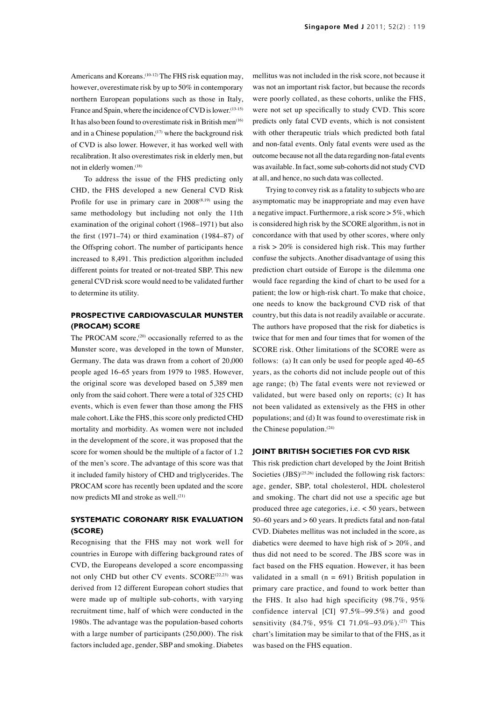Americans and Koreans.<sup>(10-12)</sup> The FHS risk equation may, however, overestimate risk by up to 50% in contemporary northern European populations such as those in Italy, France and Spain, where the incidence of CVD is lower.<sup>(13-15)</sup> It has also been found to overestimate risk in British men<sup> $(16)$ </sup> and in a Chinese population, $(17)$  where the background risk of CVD is also lower. However, it has worked well with recalibration. It also overestimates risk in elderly men, but not in elderly women.<sup>(18)</sup>

To address the issue of the FHS predicting only CHD, the FHS developed a new General CVD Risk Profile for use in primary care in  $2008^{(8,19)}$  using the same methodology but including not only the 11th examination of the original cohort (1968–1971) but also the first (1971–74) or third examination (1984–87) of the Offspring cohort. The number of participants hence increased to 8,491. This prediction algorithm included different points for treated or not-treated SBP. This new general CVD risk score would need to be validated further to determine its utility.

# **PROSPECTIVE CARDIOVASCULAR MUNSTER (PROCAM) SCORE**

The PROCAM score,<sup>(20)</sup> occasionally referred to as the Munster score, was developed in the town of Munster, Germany. The data was drawn from a cohort of 20,000 people aged 16–65 years from 1979 to 1985. However, the original score was developed based on 5,389 men only from the said cohort. There were a total of 325 CHD events, which is even fewer than those among the FHS male cohort. Like the FHS, this score only predicted CHD mortality and morbidity. As women were not included in the development of the score, it was proposed that the score for women should be the multiple of a factor of 1.2 of the men's score. The advantage of this score was that it included family history of CHD and triglycerides. The PROCAM score has recently been updated and the score now predicts MI and stroke as well.<sup>(21)</sup>

# **SYSTEMATIC CORONARY RISK EVALUATION (SCORE)**

Recognising that the FHS may not work well for countries in Europe with differing background rates of CVD, the Europeans developed a score encompassing not only CHD but other CV events. SCORE<sup>(22,23)</sup> was derived from 12 different European cohort studies that were made up of multiple sub-cohorts, with varying recruitment time, half of which were conducted in the 1980s. The advantage was the population-based cohorts with a large number of participants (250,000). The risk factors included age, gender, SBP and smoking. Diabetes

mellitus was not included in the risk score, not because it was not an important risk factor, but because the records were poorly collated, as these cohorts, unlike the FHS, were not set up specifically to study CVD. This score predicts only fatal CVD events, which is not consistent with other therapeutic trials which predicted both fatal and non-fatal events. Only fatal events were used as the outcome because not all the data regarding non-fatal events was available. In fact, some sub-cohorts did not study CVD at all, and hence, no such data was collected.

Trying to convey risk as a fatality to subjects who are asymptomatic may be inappropriate and may even have a negative impact. Furthermore, a risk score > 5%, which is considered high risk by the SCORE algorithm, is not in concordance with that used by other scores, where only a risk > 20% is considered high risk. This may further confuse the subjects. Another disadvantage of using this prediction chart outside of Europe is the dilemma one would face regarding the kind of chart to be used for a patient; the low or high-risk chart. To make that choice, one needs to know the background CVD risk of that country, but this data is not readily available or accurate. The authors have proposed that the risk for diabetics is twice that for men and four times that for women of the SCORE risk. Other limitations of the SCORE were as follows: (a) It can only be used for people aged 40–65 years, as the cohorts did not include people out of this age range; (b) The fatal events were not reviewed or validated, but were based only on reports; (c) It has not been validated as extensively as the FHS in other populations; and (d) It was found to overestimate risk in the Chinese population.(24)

### **JOINT BRITISH SOCIETIES FOR CVD RISK**

This risk prediction chart developed by the Joint British Societies  $(JBS)^{(25,26)}$  included the following risk factors: age, gender, SBP, total cholesterol, HDL cholesterol and smoking. The chart did not use a specific age but produced three age categories, i.e. < 50 years, between 50–60 years and > 60 years. It predicts fatal and non-fatal CVD. Diabetes mellitus was not included in the score, as diabetics were deemed to have high risk of  $> 20\%$ , and thus did not need to be scored. The JBS score was in fact based on the FHS equation. However, it has been validated in a small ( $n = 691$ ) British population in primary care practice, and found to work better than the FHS. It also had high specificity (98.7%, 95% confidence interval [CI] 97.5%–99.5%) and good sensitivity (84.7%, 95% CI 71.0%-93.0%).<sup>(27)</sup> This chart's limitation may be similar to that of the FHS, as it was based on the FHS equation.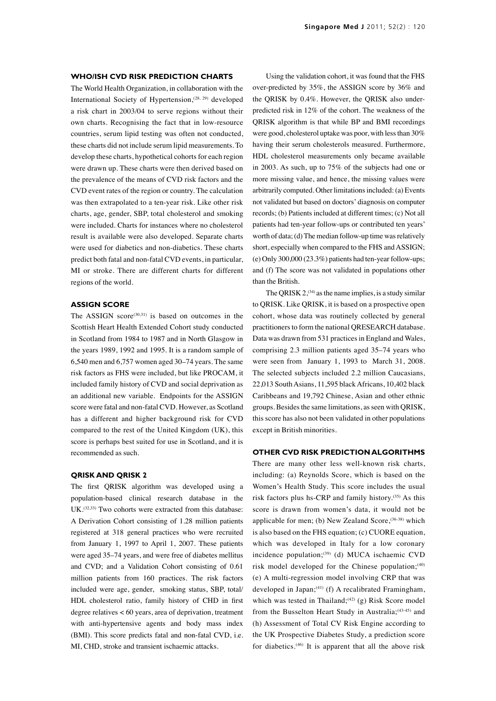#### **WHO/ISH CVD RISK PREDICTION CHARTS**

The World Health Organization, in collaboration with the International Society of Hypertension,<sup>(28, 29)</sup> developed a risk chart in 2003/04 to serve regions without their own charts. Recognising the fact that in low-resource countries, serum lipid testing was often not conducted, these charts did not include serum lipid measurements. To develop these charts, hypothetical cohorts for each region were drawn up. These charts were then derived based on the prevalence of the means of CVD risk factors and the CVD event rates of the region or country. The calculation was then extrapolated to a ten-year risk. Like other risk charts, age, gender, SBP, total cholesterol and smoking were included. Charts for instances where no cholesterol result is available were also developed. Separate charts were used for diabetics and non-diabetics. These charts predict both fatal and non-fatal CVD events, in particular, MI or stroke. There are different charts for different regions of the world.

## **ASSIGN SCORE**

The ASSIGN score $(30,31)$  is based on outcomes in the Scottish Heart Health Extended Cohort study conducted in Scotland from 1984 to 1987 and in North Glasgow in the years 1989, 1992 and 1995. It is a random sample of 6,540 men and 6,757 women aged 30–74 years. The same risk factors as FHS were included, but like PROCAM, it included family history of CVD and social deprivation as an additional new variable. Endpoints for the ASSIGN score were fatal and non-fatal CVD. However, as Scotland has a different and higher background risk for CVD compared to the rest of the United Kingdom (UK), this score is perhaps best suited for use in Scotland, and it is recommended as such.

## **QRISK AND QRISK 2**

The first QRISK algorithm was developed using a population-based clinical research database in the UK.(32,33) Two cohorts were extracted from this database: A Derivation Cohort consisting of 1.28 million patients registered at 318 general practices who were recruited from January 1, 1997 to April 1, 2007. These patients were aged 35–74 years, and were free of diabetes mellitus and CVD; and a Validation Cohort consisting of 0.61 million patients from 160 practices. The risk factors included were age, gender, smoking status, SBP, total/ HDL cholesterol ratio, family history of CHD in first degree relatives < 60 years, area of deprivation, treatment with anti-hypertensive agents and body mass index (BMI). This score predicts fatal and non-fatal CVD, i.e. MI, CHD, stroke and transient ischaemic attacks.

Using the validation cohort, it was found that the FHS over-predicted by 35%, the ASSIGN score by 36% and the QRISK by 0.4%. However, the QRISK also underpredicted risk in 12% of the cohort. The weakness of the QRISK algorithm is that while BP and BMI recordings were good, cholesterol uptake was poor, with less than 30% having their serum cholesterols measured. Furthermore, HDL cholesterol measurements only became available in 2003. As such, up to 75% of the subjects had one or more missing value, and hence, the missing values were arbitrarily computed. Other limitations included: (a) Events not validated but based on doctors' diagnosis on computer records; (b) Patients included at different times; (c) Not all patients had ten-year follow-ups or contributed ten years' worth of data; (d) The median follow-up time was relatively short, especially when compared to the FHS and ASSIGN; (e) Only 300,000 (23.3%) patients had ten-year follow-ups; and (f) The score was not validated in populations other than the British.

The QRISK  $2^{(34)}$  as the name implies, is a study similar to QRISK. Like QRISK, it is based on a prospective open cohort, whose data was routinely collected by general practitioners to form the national QRESEARCH database. Data was drawn from 531 practices in England and Wales, comprising 2.3 million patients aged 35–74 years who were seen from January 1, 1993 to March 31, 2008. The selected subjects included 2.2 million Caucasians, 22,013 South Asians, 11,595 black Africans, 10,402 black Caribbeans and 19,792 Chinese, Asian and other ethnic groups. Besides the same limitations, as seen with QRISK, this score has also not been validated in other populations except in British minorities.

#### **OTHER CVD RISK PREDICTION ALGORITHMS**

There are many other less well-known risk charts, including: (a) Reynolds Score, which is based on the Women's Health Study. This score includes the usual risk factors plus hs-CRP and family history.(35) As this score is drawn from women's data, it would not be applicable for men; (b) New Zealand Score,<sup>(36-38)</sup> which is also based on the FHS equation; (c) CUORE equation, which was developed in Italy for a low coronary incidence population;(39) (d) MUCA ischaemic CVD risk model developed for the Chinese population; $(40)$ (e) A multi-regression model involving CRP that was developed in Japan; $(41)$  (f) A recalibrated Framingham, which was tested in Thailand;<sup>(42)</sup> (g) Risk Score model from the Busselton Heart Study in Australia;<sup>(43-45)</sup> and (h) Assessment of Total CV Risk Engine according to the UK Prospective Diabetes Study, a prediction score for diabetics.<sup> $(46)$ </sup> It is apparent that all the above risk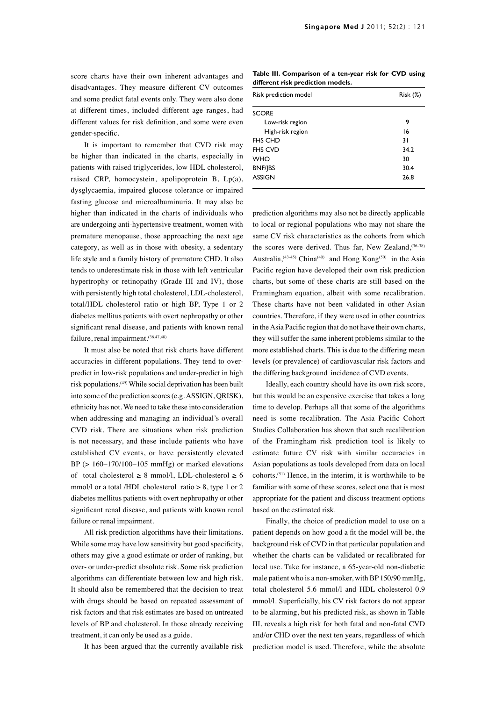score charts have their own inherent advantages and disadvantages. They measure different CV outcomes and some predict fatal events only. They were also done at different times, included different age ranges, had different values for risk definition, and some were even gender-specific.

It is important to remember that CVD risk may be higher than indicated in the charts, especially in patients with raised triglycerides, low HDL cholesterol, raised CRP, homocystein, apolipoprotein B, Lp(a), dysglycaemia, impaired glucose tolerance or impaired fasting glucose and microalbuminuria. It may also be higher than indicated in the charts of individuals who are undergoing anti-hypertensive treatment, women with premature menopause, those approaching the next age category, as well as in those with obesity, a sedentary life style and a family history of premature CHD. It also tends to underestimate risk in those with left ventricular hypertrophy or retinopathy (Grade III and IV), those with persistently high total cholesterol, LDL-cholesterol, total/HDL cholesterol ratio or high BP, Type 1 or 2 diabetes mellitus patients with overt nephropathy or other significant renal disease, and patients with known renal failure, renal impairment.(36,47,48)

It must also be noted that risk charts have different accuracies in different populations. They tend to overpredict in low-risk populations and under-predict in high risk populations.(49) While social deprivation has been built into some of the prediction scores (e.g. ASSIGN, QRISK), ethnicity has not. We need to take these into consideration when addressing and managing an individual's overall CVD risk. There are situations when risk prediction is not necessary, and these include patients who have established CV events, or have persistently elevated  $BP$  ( $> 160-170/100-105$  mmHg) or marked elevations of total cholesterol  $\geq 8$  mmol/l, LDL-cholesterol  $\geq 6$ mmol/l or a total /HDL cholesterol ratio > 8, type 1 or 2 diabetes mellitus patients with overt nephropathy or other significant renal disease, and patients with known renal failure or renal impairment.

All risk prediction algorithms have their limitations. While some may have low sensitivity but good specificity, others may give a good estimate or order of ranking, but over- or under-predict absolute risk. Some risk prediction algorithms can differentiate between low and high risk. It should also be remembered that the decision to treat with drugs should be based on repeated assessment of risk factors and that risk estimates are based on untreated levels of BP and cholesterol. In those already receiving treatment, it can only be used as a guide.

It has been argued that the currently available risk

**Table III. Comparison of a ten-year risk for CVD using different risk prediction models.**

| Risk prediction model | Risk (%) |  |  |  |  |  |
|-----------------------|----------|--|--|--|--|--|
| <b>SCORE</b>          |          |  |  |  |  |  |
| Low-risk region       | 9        |  |  |  |  |  |
| High-risk region      | 16       |  |  |  |  |  |
| <b>FHS CHD</b>        | 31       |  |  |  |  |  |
| <b>FHS CVD</b>        | 34.2     |  |  |  |  |  |
| <b>WHO</b>            | 30       |  |  |  |  |  |
| BNF/JBS               | 30.4     |  |  |  |  |  |
| <b>ASSIGN</b>         | 26.8     |  |  |  |  |  |
|                       |          |  |  |  |  |  |

prediction algorithms may also not be directly applicable to local or regional populations who may not share the same CV risk characteristics as the cohorts from which the scores were derived. Thus far, New Zealand, $(36-38)$ Australia,<sup>(43.45)</sup> China<sup>(40)</sup> and Hong Kong<sup>(50)</sup> in the Asia Pacific region have developed their own risk prediction charts, but some of these charts are still based on the Framingham equation, albeit with some recalibration. These charts have not been validated in other Asian countries. Therefore, if they were used in other countries in the Asia Pacific region that do not have their own charts, they will suffer the same inherent problems similar to the more established charts. This is due to the differing mean levels (or prevalence) of cardiovascular risk factors and the differing background incidence of CVD events.

Ideally, each country should have its own risk score, but this would be an expensive exercise that takes a long time to develop. Perhaps all that some of the algorithms need is some recalibration. The Asia Pacific Cohort Studies Collaboration has shown that such recalibration of the Framingham risk prediction tool is likely to estimate future CV risk with similar accuracies in Asian populations as tools developed from data on local cohorts.(51) Hence, in the interim, it is worthwhile to be familiar with some of these scores, select one that is most appropriate for the patient and discuss treatment options based on the estimated risk.

Finally, the choice of prediction model to use on a patient depends on how good a fit the model will be, the background risk of CVD in that particular population and whether the charts can be validated or recalibrated for local use. Take for instance, a 65-year-old non-diabetic male patient who is a non-smoker, with BP 150/90 mmHg, total cholesterol 5.6 mmol/l and HDL cholesterol 0.9 mmol/l. Superficially, his CV risk factors do not appear to be alarming, but his predicted risk, as shown in Table III, reveals a high risk for both fatal and non-fatal CVD and/or CHD over the next ten years, regardless of which prediction model is used. Therefore, while the absolute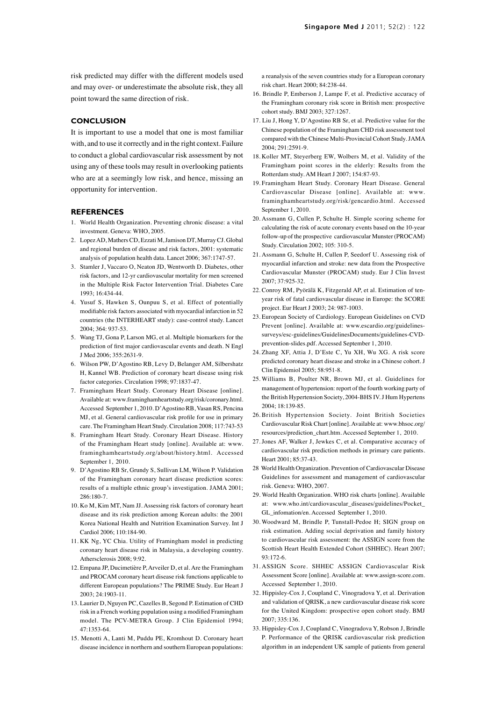risk predicted may differ with the different models used and may over- or underestimate the absolute risk, they all point toward the same direction of risk.

#### **CONCLUSION**

It is important to use a model that one is most familiar with, and to use it correctly and in the right context. Failure to conduct a global cardiovascular risk assessment by not using any of these tools may result in overlooking patients who are at a seemingly low risk, and hence, missing an opportunity for intervention.

#### **REFERENCES**

- 1. World Health Organization. Preventing chronic disease: a vital investment. Geneva: WHO, 2005.
- 2. Lopez AD, Mathers CD, Ezzati M, Jamison DT, Murray CJ. Global and regional burden of disease and risk factors, 2001: systematic analysis of population health data. Lancet 2006; 367:1747-57.
- 3. Stamler J, Vaccaro O, Neaton JD, Wentworth D. Diabetes, other risk factors, and 12-yr cardiovascular mortality for men screened in the Multiple Risk Factor Intervention Trial. Diabetes Care 1993; 16:434-44.
- 4. Yusuf S, Hawken S, Ounpuu S, et al. Effect of potentially modifiable risk factors associated with myocardial infarction in 52 countries (the INTERHEART study): case-control study. Lancet 2004; 364: 937-53.
- 5. Wang TJ, Gona P, Larson MG, et al. Multiple biomarkers for the prediction of first major cardiovascular events and death. N Engl J Med 2006; 355:2631-9.
- 6. Wilson PW, D'Agostino RB, Levy D, Belanger AM, Silbershatz H, Kannel WB. Prediction of coronary heart disease using risk factor categories. Circulation 1998; 97:1837-47.
- 7. Framingham Heart Study. Coronary Heart Disease [online]. Available at: www.framinghamheartstudy.org/risk/coronary.html. Accessed September 1, 2010. D'Agostino RB, Vasan RS, Pencina MJ, et al. General cardiovascular risk profile for use in primary care. The Framingham Heart Study. Circulation 2008; 117:743-53
- 8. Framingham Heart Study. Coronary Heart Disease. History of the Framingham Heart study [online]. Available at: www. framinghamheartstudy.org/about/history.html. Accessed September 1, 2010.
- 9. D'Agostino RB Sr, Grundy S, Sullivan LM, Wilson P. Validation of the Framingham coronary heart disease prediction scores: results of a multiple ethnic group's investigation. JAMA 2001; 286:180-7.
- 10. Ko M, Kim MT, Nam JJ. Assessing risk factors of coronary heart disease and its risk prediction among Korean adults: the 2001 Korea National Health and Nutrition Examination Survey. Int J Cardiol 2006; 110:184-90.
- 11. KK Ng, YC Chia. Utility of Framingham model in predicting coronary heart disease risk in Malaysia, a developing country. Athersclerosis 2008; 9:92.
- 12. Empana JP, Ducimetière P, Arveiler D, et al. Are the Framingham and PROCAM coronary heart disease risk functions applicable to different European populations? The PRIME Study. Eur Heart J 2003; 24:1903-11.
- 13. Laurier D, Nguyen PC, Cazelles B, Segond P. Estimation of CHD risk in a French working population using a modified Framingham model. The PCV-METRA Group. J Clin Epidemiol 1994; 47:1353-64.
- 15. Menotti A, Lanti M, Puddu PE, Kromhout D. Coronary heart disease incidence in northern and southern European populations:

a reanalysis of the seven countries study for a European coronary risk chart. Heart 2000; 84:238-44.

- 16. Brindle P, Emberson J, Lampe F, et al. Predictive accuracy of the Framingham coronary risk score in British men: prospective cohort study. BMJ 2003; 327:1267.
- 17. Liu J, Hong Y, D'Agostino RB Sr, et al. Predictive value for the Chinese population of the Framingham CHD risk assessment tool compared with the Chinese Multi-Provincial Cohort Study. JAMA 2004; 291:2591-9.
- 18. Koller MT, Steyerberg EW, Wolbers M, et al. Validity of the Framingham point scores in the elderly: Results from the Rotterdam study. AM Heart J 2007; 154:87-93.
- 19. Framingham Heart Study. Coronary Heart Disease. General Cardiovascular Disease [online]. Available at: www. framinghamheartstudy.org/risk/gencardio.html. Accessed September 1, 2010.
- 20. Assmann G, Cullen P, Schulte H. Simple scoring scheme for calculating the risk of acute coronary events based on the 10-year follow-up of the prospective cardiovascular Munster (PROCAM) Study. Circulation 2002; 105: 310-5.
- 21. Assmann G, Schulte H, Cullen P, Seedorf U. Assessing risk of myocardial infarction and stroke: new data from the Prospective Cardiovascular Munster (PROCAM) study. Eur J Clin Invest 2007; 37:925-32.
- 22. Conroy RM, Pyörälä K, Fitzgerald AP, et al. Estimation of tenyear risk of fatal cardiovascular disease in Europe: the SCORE project. Eur Heart J 2003; 24: 987-1003.
- 23. European Society of Cardiology. European Guidelines on CVD Prevent [online]. Available at: www.escardio.org/guidelinessurveys/esc-guidelines/GuidelinesDocuments/guidelines-CVDprevention-slides.pdf. Accessed September 1, 2010.
- 24. Zhang XF, Attia J, D'Este C, Yu XH, Wu XG. A risk score predicted coronary heart disease and stroke in a Chinese cohort. J Clin Epidemiol 2005; 58:951-8.
- 25. Williams B, Poulter NR, Brown MJ, et al. Guidelines for management of hypertension: report of the fourth working party of the British Hypertension Society, 2004-BHS IV. J Hum Hypertens 2004; 18:139-85.
- 26. British Hypertension Society. Joint British Societies Cardiovascular Risk Chart [online]. Available at: www.bhsoc.org/ resources/prediction\_chart.htm. Accessed September 1, 2010.
- 27. Jones AF, Walker J, Jewkes C, et al. Comparative accuracy of cardiovascular risk prediction methods in primary care patients. Heart 2001; 85:37-43.
- 28 World Health Organization. Prevention of Cardiovascular Disease Guidelines for assessment and management of cardiovascular risk. Geneva: WHO, 2007.
- 29. World Health Organization. WHO risk charts [online]. Available at: www.who.int/cardiovascular\_diseases/guidelines/Pocket\_ GL\_infomation/en. Accessed September 1, 2010.
- 30. Woodward M, Brindle P, Tunstall-Pedoe H; SIGN group on risk estimation. Adding social deprivation and family history to cardiovascular risk assessment: the ASSIGN score from the Scottish Heart Health Extended Cohort (SHHEC). Heart 2007; 93:172-6.
- 31. ASSIGN Score. SHHEC ASSIGN Cardiovascular Risk Assessment Score [online]. Available at: www.assign-score.com. Accessed September 1, 2010.
- 32. Hippisley-Cox J, Coupland C, Vinogradova Y, et al. Derivation and validation of QRISK, a new cardiovascular disease risk score for the United Kingdom: prospective open cohort study. BMJ 2007; 335:136.
- 33. Hippisley-Cox J, Coupland C, Vinogradova Y, Robson J, Brindle P. Performance of the QRISK cardiovascular risk prediction algorithm in an independent UK sample of patients from general